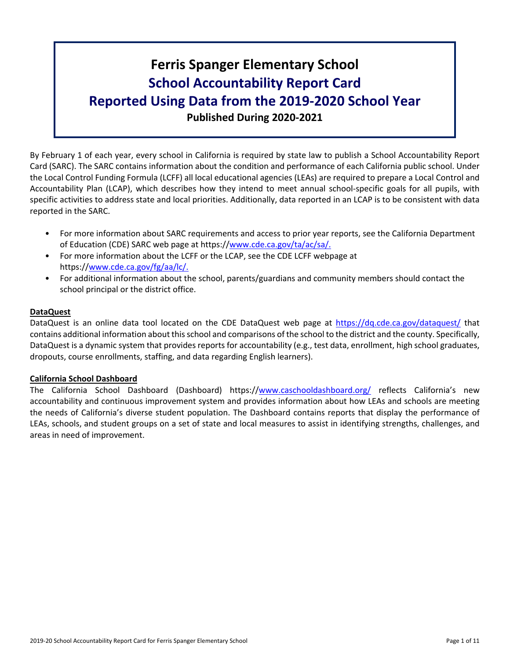# **Ferris Spanger Elementary School School Accountability Report Card Reported Using Data from the 2019-2020 School Year Published During 2020-2021**

By February 1 of each year, every school in California is required by state law to publish a School Accountability Report Card (SARC). The SARC contains information about the condition and performance of each California public school. Under the Local Control Funding Formula (LCFF) all local educational agencies (LEAs) are required to prepare a Local Control and Accountability Plan (LCAP), which describes how they intend to meet annual school-specific goals for all pupils, with specific activities to address state and local priorities. Additionally, data reported in an LCAP is to be consistent with data reported in the SARC.

- For more information about SARC requirements and access to prior year reports, see the California Department of Education (CDE) SARC web page at https://[www.cde.ca.gov/ta/ac/sa/.](https://www.cde.ca.gov/ta/ac/sa/)
- For more information about the LCFF or the LCAP, see the CDE LCFF webpage at https://[www.cde.ca.gov/fg/aa/lc/.](https://www.cde.ca.gov/fg/aa/lc/)
- For additional information about the school, parents/guardians and community members should contact the school principal or the district office.

### **DataQuest**

DataQuest is an online data tool located on the CDE DataQuest web page at <https://dq.cde.ca.gov/dataquest/> that contains additional information about thisschool and comparisons of the school to the district and the county. Specifically, DataQuest is a dynamic system that provides reports for accountability (e.g., test data, enrollment, high school graduates, dropouts, course enrollments, staffing, and data regarding English learners).

### **California School Dashboard**

The California School Dashboard (Dashboard) https://[www.caschooldashboard.org/](https://www.caschooldashboard.org/) reflects California's new accountability and continuous improvement system and provides information about how LEAs and schools are meeting the needs of California's diverse student population. The Dashboard contains reports that display the performance of LEAs, schools, and student groups on a set of state and local measures to assist in identifying strengths, challenges, and areas in need of improvement.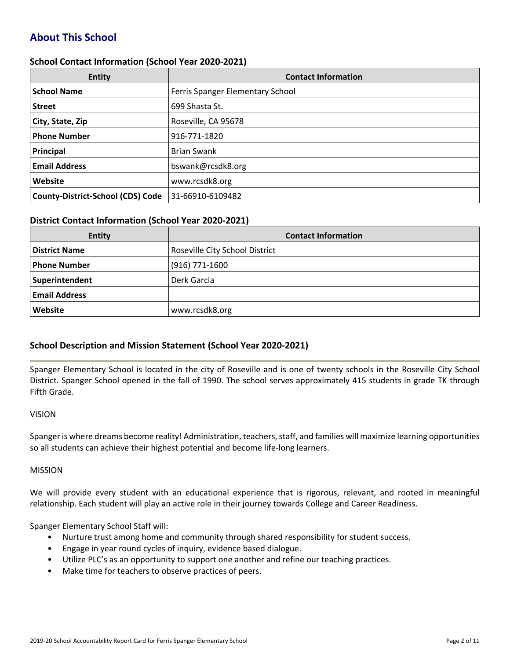# **About This School**

### **School Contact Information (School Year 2020-2021)**

| <b>Entity</b>                            | <b>Contact Information</b>       |
|------------------------------------------|----------------------------------|
| <b>School Name</b>                       | Ferris Spanger Elementary School |
| <b>Street</b>                            | 699 Shasta St.                   |
| City, State, Zip                         | Roseville, CA 95678              |
| <b>Phone Number</b>                      | 916-771-1820                     |
| Principal                                | <b>Brian Swank</b>               |
| <b>Email Address</b>                     | bswank@rcsdk8.org                |
| Website                                  | www.rcsdk8.org                   |
| <b>County-District-School (CDS) Code</b> | 31-66910-6109482                 |

#### **District Contact Information (School Year 2020-2021)**

| <b>Entity</b>        | <b>Contact Information</b>     |
|----------------------|--------------------------------|
| <b>District Name</b> | Roseville City School District |
| <b>Phone Number</b>  | $(916)$ 771-1600               |
| Superintendent       | Derk Garcia                    |
| <b>Email Address</b> |                                |
| Website              | www.rcsdk8.org                 |

### **School Description and Mission Statement (School Year 2020-2021)**

Spanger Elementary School is located in the city of Roseville and is one of twenty schools in the Roseville City School District. Spanger School opened in the fall of 1990. The school serves approximately 415 students in grade TK through Fifth Grade.

#### VISION

Spanger is where dreams become reality! Administration, teachers, staff, and families will maximize learning opportunities so all students can achieve their highest potential and become life-long learners.

#### MISSION

We will provide every student with an educational experience that is rigorous, relevant, and rooted in meaningful relationship. Each student will play an active role in their journey towards College and Career Readiness.

Spanger Elementary School Staff will:

- Nurture trust among home and community through shared responsibility for student success.
- Engage in year round cycles of inquiry, evidence based dialogue.
- Utilize PLC's as an opportunity to support one another and refine our teaching practices.
- Make time for teachers to observe practices of peers.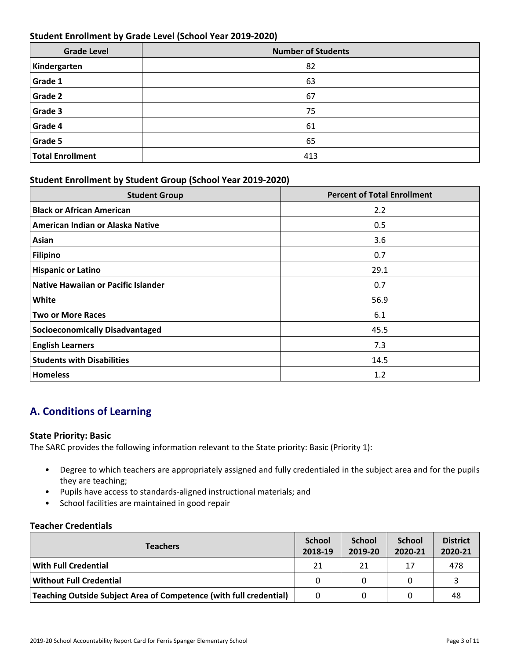### **Student Enrollment by Grade Level (School Year 2019-2020)**

| <b>Grade Level</b>      | <b>Number of Students</b> |
|-------------------------|---------------------------|
| Kindergarten            | 82                        |
| Grade 1                 | 63                        |
| <b>Grade 2</b>          | 67                        |
| Grade 3                 | 75                        |
| Grade 4                 | 61                        |
| Grade 5                 | 65                        |
| <b>Total Enrollment</b> | 413                       |

### **Student Enrollment by Student Group (School Year 2019-2020)**

| <b>Student Group</b>                   | <b>Percent of Total Enrollment</b> |
|----------------------------------------|------------------------------------|
| <b>Black or African American</b>       | 2.2                                |
| American Indian or Alaska Native       | 0.5                                |
| Asian                                  | 3.6                                |
| Filipino                               | 0.7                                |
| <b>Hispanic or Latino</b>              | 29.1                               |
| Native Hawaiian or Pacific Islander    | 0.7                                |
| White                                  | 56.9                               |
| <b>Two or More Races</b>               | 6.1                                |
| <b>Socioeconomically Disadvantaged</b> | 45.5                               |
| <b>English Learners</b>                | 7.3                                |
| <b>Students with Disabilities</b>      | 14.5                               |
| <b>Homeless</b>                        | 1.2                                |

# **A. Conditions of Learning**

### **State Priority: Basic**

The SARC provides the following information relevant to the State priority: Basic (Priority 1):

- Degree to which teachers are appropriately assigned and fully credentialed in the subject area and for the pupils they are teaching;
- Pupils have access to standards-aligned instructional materials; and
- School facilities are maintained in good repair

### **Teacher Credentials**

| <b>Teachers</b>                                                           |    | <b>School</b><br>2019-20 | <b>School</b><br>2020-21 | <b>District</b><br>2020-21 |
|---------------------------------------------------------------------------|----|--------------------------|--------------------------|----------------------------|
| <b>With Full Credential</b>                                               | 21 | 21                       | 17                       | 478                        |
| <b>Without Full Credential</b>                                            |    |                          |                          |                            |
| <b>Teaching Outside Subject Area of Competence (with full credential)</b> |    |                          |                          | 48                         |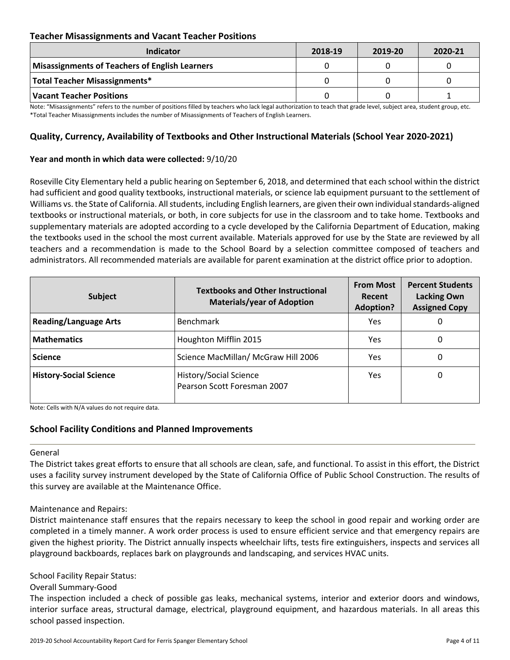### **Teacher Misassignments and Vacant Teacher Positions**

| Indicator                                      | 2018-19 | 2019-20 | 2020-21 |
|------------------------------------------------|---------|---------|---------|
| Misassignments of Teachers of English Learners |         |         |         |
| Total Teacher Misassignments*                  |         |         |         |
| Vacant Teacher Positions                       |         |         |         |

Note: "Misassignments" refers to the number of positions filled by teachers who lack legal authorization to teach that grade level, subject area, student group, etc. \*Total Teacher Misassignments includes the number of Misassignments of Teachers of English Learners.

### **Quality, Currency, Availability of Textbooks and Other Instructional Materials (School Year 2020-2021)**

### **Year and month in which data were collected:** 9/10/20

Roseville City Elementary held a public hearing on September 6, 2018, and determined that each school within the district had sufficient and good quality textbooks, instructional materials, or science lab equipment pursuant to the settlement of Williams vs. the State of California. All students, including English learners, are given their own individual standards-aligned textbooks or instructional materials, or both, in core subjects for use in the classroom and to take home. Textbooks and supplementary materials are adopted according to a cycle developed by the California Department of Education, making the textbooks used in the school the most current available. Materials approved for use by the State are reviewed by all teachers and a recommendation is made to the School Board by a selection committee composed of teachers and administrators. All recommended materials are available for parent examination at the district office prior to adoption.

| <b>Subject</b>                | <b>Textbooks and Other Instructional</b><br><b>Materials/year of Adoption</b> | <b>From Most</b><br>Recent<br><b>Adoption?</b> | <b>Percent Students</b><br><b>Lacking Own</b><br><b>Assigned Copy</b> |
|-------------------------------|-------------------------------------------------------------------------------|------------------------------------------------|-----------------------------------------------------------------------|
| <b>Reading/Language Arts</b>  | <b>Benchmark</b>                                                              | Yes                                            | O                                                                     |
| <b>Mathematics</b>            | Houghton Mifflin 2015                                                         | <b>Yes</b>                                     | 0                                                                     |
| <b>Science</b>                | Science MacMillan/ McGraw Hill 2006                                           | Yes                                            | 0                                                                     |
| <b>History-Social Science</b> | History/Social Science<br>Pearson Scott Foresman 2007                         | Yes.                                           | 0                                                                     |

Note: Cells with N/A values do not require data.

### **School Facility Conditions and Planned Improvements**

#### General

The District takes great efforts to ensure that all schools are clean, safe, and functional. To assist in this effort, the District uses a facility survey instrument developed by the State of California Office of Public School Construction. The results of this survey are available at the Maintenance Office.

#### Maintenance and Repairs:

District maintenance staff ensures that the repairs necessary to keep the school in good repair and working order are completed in a timely manner. A work order process is used to ensure efficient service and that emergency repairs are given the highest priority. The District annually inspects wheelchair lifts, tests fire extinguishers, inspects and services all playground backboards, replaces bark on playgrounds and landscaping, and services HVAC units.

#### School Facility Repair Status:

Overall Summary-Good

The inspection included a check of possible gas leaks, mechanical systems, interior and exterior doors and windows, interior surface areas, structural damage, electrical, playground equipment, and hazardous materials. In all areas this school passed inspection.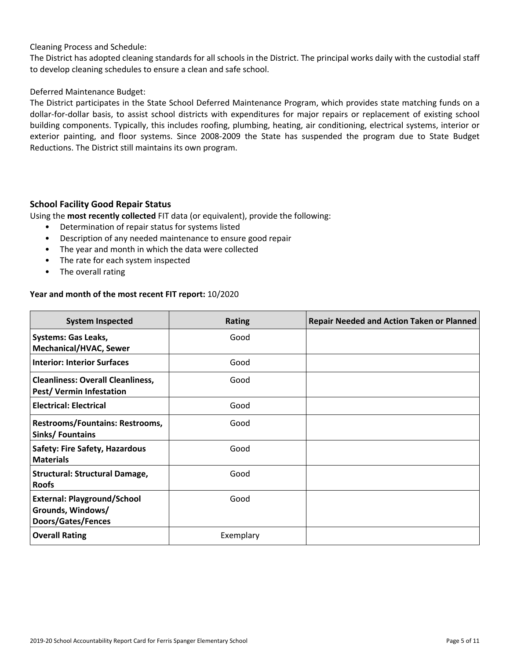### Cleaning Process and Schedule:

The District has adopted cleaning standards for all schools in the District. The principal works daily with the custodial staff to develop cleaning schedules to ensure a clean and safe school.

### Deferred Maintenance Budget:

The District participates in the State School Deferred Maintenance Program, which provides state matching funds on a dollar-for-dollar basis, to assist school districts with expenditures for major repairs or replacement of existing school building components. Typically, this includes roofing, plumbing, heating, air conditioning, electrical systems, interior or exterior painting, and floor systems. Since 2008-2009 the State has suspended the program due to State Budget Reductions. The District still maintains its own program.

### **School Facility Good Repair Status**

Using the **most recently collected** FIT data (or equivalent), provide the following:

- Determination of repair status for systems listed
- Description of any needed maintenance to ensure good repair
- The year and month in which the data were collected
- The rate for each system inspected
- The overall rating

### **Year and month of the most recent FIT report:** 10/2020

| <b>System Inspected</b>                                                              | <b>Rating</b> | <b>Repair Needed and Action Taken or Planned</b> |
|--------------------------------------------------------------------------------------|---------------|--------------------------------------------------|
| <b>Systems: Gas Leaks,</b><br><b>Mechanical/HVAC, Sewer</b>                          | Good          |                                                  |
| <b>Interior: Interior Surfaces</b>                                                   | Good          |                                                  |
| <b>Cleanliness: Overall Cleanliness,</b><br>Pest/Vermin Infestation                  | Good          |                                                  |
| <b>Electrical: Electrical</b>                                                        | Good          |                                                  |
| <b>Restrooms/Fountains: Restrooms,</b><br>Sinks/Fountains                            | Good          |                                                  |
| <b>Safety: Fire Safety, Hazardous</b><br><b>Materials</b>                            | Good          |                                                  |
| <b>Structural: Structural Damage,</b><br><b>Roofs</b>                                | Good          |                                                  |
| <b>External: Playground/School</b><br>Grounds, Windows/<br><b>Doors/Gates/Fences</b> | Good          |                                                  |
| <b>Overall Rating</b>                                                                | Exemplary     |                                                  |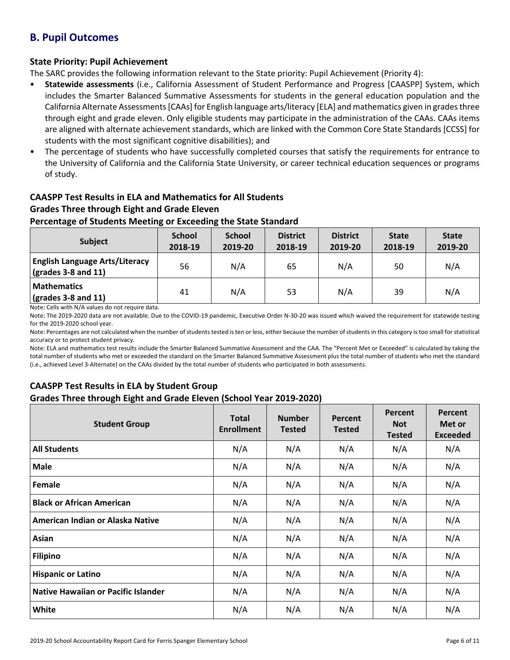# **B. Pupil Outcomes**

### **State Priority: Pupil Achievement**

The SARC provides the following information relevant to the State priority: Pupil Achievement (Priority 4):

- **Statewide assessments** (i.e., California Assessment of Student Performance and Progress [CAASPP] System, which includes the Smarter Balanced Summative Assessments for students in the general education population and the California Alternate Assessments [CAAs] for English language arts/literacy [ELA] and mathematics given in grades three through eight and grade eleven. Only eligible students may participate in the administration of the CAAs. CAAs items are aligned with alternate achievement standards, which are linked with the Common Core State Standards [CCSS] for students with the most significant cognitive disabilities); and
- The percentage of students who have successfully completed courses that satisfy the requirements for entrance to the University of California and the California State University, or career technical education sequences or programs of study.

### **CAASPP Test Results in ELA and Mathematics for All Students Grades Three through Eight and Grade Eleven**

### **Percentage of Students Meeting or Exceeding the State Standard**

| <b>Subject</b>                                                             | <b>School</b><br>2018-19 | <b>School</b><br>2019-20 | <b>District</b><br>2018-19 | <b>District</b><br>2019-20 | <b>State</b><br>2018-19 | <b>State</b><br>2019-20 |
|----------------------------------------------------------------------------|--------------------------|--------------------------|----------------------------|----------------------------|-------------------------|-------------------------|
| <b>English Language Arts/Literacy</b><br>$\frac{1}{2}$ (grades 3-8 and 11) | 56                       | N/A                      | 65                         | N/A                        | 50                      | N/A                     |
| <b>Mathematics</b><br>$\sqrt{grades}$ 3-8 and 11)                          | 41                       | N/A                      | 53                         | N/A                        | 39                      | N/A                     |

Note: Cells with N/A values do not require data.

Note: The 2019-2020 data are not available. Due to the COVID-19 pandemic, Executive Order N-30-20 was issued which waived the requirement for statewide testing for the 2019-2020 school year.

Note: Percentages are not calculated when the number of students tested is ten or less, either because the number of students in this category is too small for statistical accuracy or to protect student privacy.

Note: ELA and mathematics test results include the Smarter Balanced Summative Assessment and the CAA. The "Percent Met or Exceeded" is calculated by taking the total number of students who met or exceeded the standard on the Smarter Balanced Summative Assessment plus the total number of students who met the standard (i.e., achieved Level 3-Alternate) on the CAAs divided by the total number of students who participated in both assessments.

### **CAASPP Test Results in ELA by Student Group Grades Three through Eight and Grade Eleven (School Year 2019-2020)**

| <b>Student Group</b>                | <b>Total</b><br><b>Enrollment</b> | <b>Number</b><br><b>Tested</b> | Percent<br><b>Tested</b> | Percent<br><b>Not</b><br><b>Tested</b> | Percent<br>Met or<br><b>Exceeded</b> |
|-------------------------------------|-----------------------------------|--------------------------------|--------------------------|----------------------------------------|--------------------------------------|
| <b>All Students</b>                 | N/A                               | N/A                            | N/A                      | N/A                                    | N/A                                  |
| <b>Male</b>                         | N/A                               | N/A                            | N/A                      | N/A                                    | N/A                                  |
| Female                              | N/A                               | N/A                            | N/A                      | N/A                                    | N/A                                  |
| <b>Black or African American</b>    | N/A                               | N/A                            | N/A                      | N/A                                    | N/A                                  |
| American Indian or Alaska Native    | N/A                               | N/A                            | N/A                      | N/A                                    | N/A                                  |
| Asian                               | N/A                               | N/A                            | N/A                      | N/A                                    | N/A                                  |
| <b>Filipino</b>                     | N/A                               | N/A                            | N/A                      | N/A                                    | N/A                                  |
| <b>Hispanic or Latino</b>           | N/A                               | N/A                            | N/A                      | N/A                                    | N/A                                  |
| Native Hawaiian or Pacific Islander | N/A                               | N/A                            | N/A                      | N/A                                    | N/A                                  |
| White                               | N/A                               | N/A                            | N/A                      | N/A                                    | N/A                                  |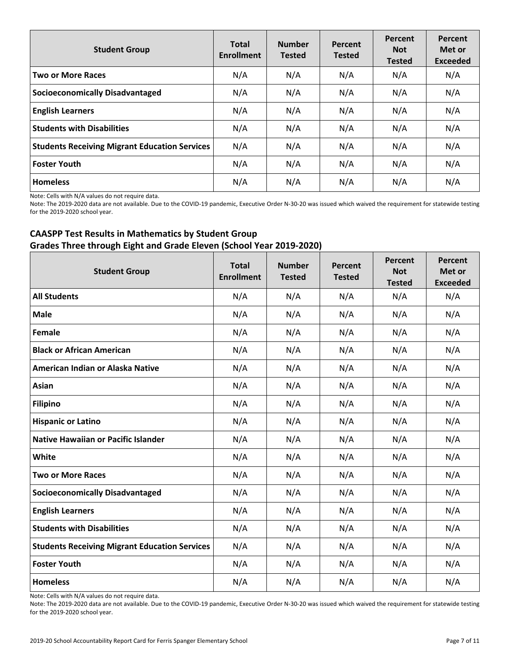| <b>Student Group</b>                                 | <b>Total</b><br><b>Enrollment</b> | <b>Number</b><br><b>Tested</b> | Percent<br><b>Tested</b> | Percent<br><b>Not</b><br><b>Tested</b> | Percent<br>Met or<br><b>Exceeded</b> |
|------------------------------------------------------|-----------------------------------|--------------------------------|--------------------------|----------------------------------------|--------------------------------------|
| <b>Two or More Races</b>                             | N/A                               | N/A                            | N/A                      | N/A                                    | N/A                                  |
| <b>Socioeconomically Disadvantaged</b>               | N/A                               | N/A                            | N/A                      | N/A                                    | N/A                                  |
| <b>English Learners</b>                              | N/A                               | N/A                            | N/A                      | N/A                                    | N/A                                  |
| <b>Students with Disabilities</b>                    | N/A                               | N/A                            | N/A                      | N/A                                    | N/A                                  |
| <b>Students Receiving Migrant Education Services</b> | N/A                               | N/A                            | N/A                      | N/A                                    | N/A                                  |
| Foster Youth                                         | N/A                               | N/A                            | N/A                      | N/A                                    | N/A                                  |
| Homeless                                             | N/A                               | N/A                            | N/A                      | N/A                                    | N/A                                  |

Note: Cells with N/A values do not require data.

Note: The 2019-2020 data are not available. Due to the COVID-19 pandemic, Executive Order N-30-20 was issued which waived the requirement for statewide testing for the 2019-2020 school year.

### **CAASPP Test Results in Mathematics by Student Group Grades Three through Eight and Grade Eleven (School Year 2019-2020)**

| <b>Student Group</b>                                 | <b>Total</b><br><b>Enrollment</b> | <b>Number</b><br><b>Tested</b> | Percent<br><b>Tested</b> | Percent<br><b>Not</b><br><b>Tested</b> | Percent<br>Met or<br><b>Exceeded</b> |
|------------------------------------------------------|-----------------------------------|--------------------------------|--------------------------|----------------------------------------|--------------------------------------|
| <b>All Students</b>                                  | N/A                               | N/A                            | N/A                      | N/A                                    | N/A                                  |
| <b>Male</b>                                          | N/A                               | N/A                            | N/A                      | N/A                                    | N/A                                  |
| Female                                               | N/A                               | N/A                            | N/A                      | N/A                                    | N/A                                  |
| <b>Black or African American</b>                     | N/A                               | N/A                            | N/A                      | N/A                                    | N/A                                  |
| American Indian or Alaska Native                     | N/A                               | N/A                            | N/A                      | N/A                                    | N/A                                  |
| Asian                                                | N/A                               | N/A                            | N/A                      | N/A                                    | N/A                                  |
| <b>Filipino</b>                                      | N/A                               | N/A                            | N/A                      | N/A                                    | N/A                                  |
| <b>Hispanic or Latino</b>                            | N/A                               | N/A                            | N/A                      | N/A                                    | N/A                                  |
| <b>Native Hawaiian or Pacific Islander</b>           | N/A                               | N/A                            | N/A                      | N/A                                    | N/A                                  |
| White                                                | N/A                               | N/A                            | N/A                      | N/A                                    | N/A                                  |
| <b>Two or More Races</b>                             | N/A                               | N/A                            | N/A                      | N/A                                    | N/A                                  |
| <b>Socioeconomically Disadvantaged</b>               | N/A                               | N/A                            | N/A                      | N/A                                    | N/A                                  |
| <b>English Learners</b>                              | N/A                               | N/A                            | N/A                      | N/A                                    | N/A                                  |
| <b>Students with Disabilities</b>                    | N/A                               | N/A                            | N/A                      | N/A                                    | N/A                                  |
| <b>Students Receiving Migrant Education Services</b> | N/A                               | N/A                            | N/A                      | N/A                                    | N/A                                  |
| <b>Foster Youth</b>                                  | N/A                               | N/A                            | N/A                      | N/A                                    | N/A                                  |
| <b>Homeless</b>                                      | N/A                               | N/A                            | N/A                      | N/A                                    | N/A                                  |

Note: Cells with N/A values do not require data.

Note: The 2019-2020 data are not available. Due to the COVID-19 pandemic, Executive Order N-30-20 was issued which waived the requirement for statewide testing for the 2019-2020 school year.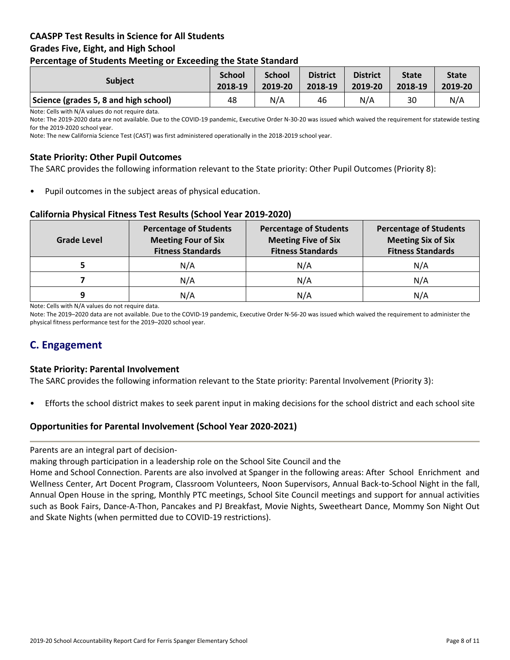### **CAASPP Test Results in Science for All Students Grades Five, Eight, and High School Percentage of Students Meeting or Exceeding the State Standard**

| . .                                   |                          |                          |                            |                            |                         |                         |
|---------------------------------------|--------------------------|--------------------------|----------------------------|----------------------------|-------------------------|-------------------------|
| <b>Subject</b>                        | <b>School</b><br>2018-19 | <b>School</b><br>2019-20 | <b>District</b><br>2018-19 | <b>District</b><br>2019-20 | <b>State</b><br>2018-19 | <b>State</b><br>2019-20 |
| Science (grades 5, 8 and high school) | 48                       | N/A                      | 46                         | N/A                        | 30                      | N/A                     |

Note: Cells with N/A values do not require data.

Note: The 2019-2020 data are not available. Due to the COVID-19 pandemic, Executive Order N-30-20 was issued which waived the requirement for statewide testing for the 2019-2020 school year.

Note: The new California Science Test (CAST) was first administered operationally in the 2018-2019 school year.

### **State Priority: Other Pupil Outcomes**

The SARC provides the following information relevant to the State priority: Other Pupil Outcomes (Priority 8):

Pupil outcomes in the subject areas of physical education.

### **California Physical Fitness Test Results (School Year 2019-2020)**

| <b>Grade Level</b> | <b>Percentage of Students</b><br><b>Meeting Four of Six</b><br><b>Fitness Standards</b> | <b>Percentage of Students</b><br><b>Meeting Five of Six</b><br><b>Fitness Standards</b> | <b>Percentage of Students</b><br><b>Meeting Six of Six</b><br><b>Fitness Standards</b> |  |
|--------------------|-----------------------------------------------------------------------------------------|-----------------------------------------------------------------------------------------|----------------------------------------------------------------------------------------|--|
|                    | N/A                                                                                     | N/A                                                                                     | N/A                                                                                    |  |
|                    | N/A                                                                                     | N/A                                                                                     | N/A                                                                                    |  |
| q                  | N/A                                                                                     | N/A                                                                                     | N/A                                                                                    |  |

Note: Cells with N/A values do not require data.

Note: The 2019–2020 data are not available. Due to the COVID-19 pandemic, Executive Order N-56-20 was issued which waived the requirement to administer the physical fitness performance test for the 2019–2020 school year.

# **C. Engagement**

### **State Priority: Parental Involvement**

The SARC provides the following information relevant to the State priority: Parental Involvement (Priority 3):

• Efforts the school district makes to seek parent input in making decisions for the school district and each school site

### **Opportunities for Parental Involvement (School Year 2020-2021)**

Parents are an integral part of decision-

making through participation in a leadership role on the School Site Council and the

Home and School Connection. Parents are also involved at Spanger in the following areas: After School Enrichment and Wellness Center, Art Docent Program, Classroom Volunteers, Noon Supervisors, Annual Back-to-School Night in the fall, Annual Open House in the spring, Monthly PTC meetings, School Site Council meetings and support for annual activities such as Book Fairs, Dance-A-Thon, Pancakes and PJ Breakfast, Movie Nights, Sweetheart Dance, Mommy Son Night Out and Skate Nights (when permitted due to COVID-19 restrictions).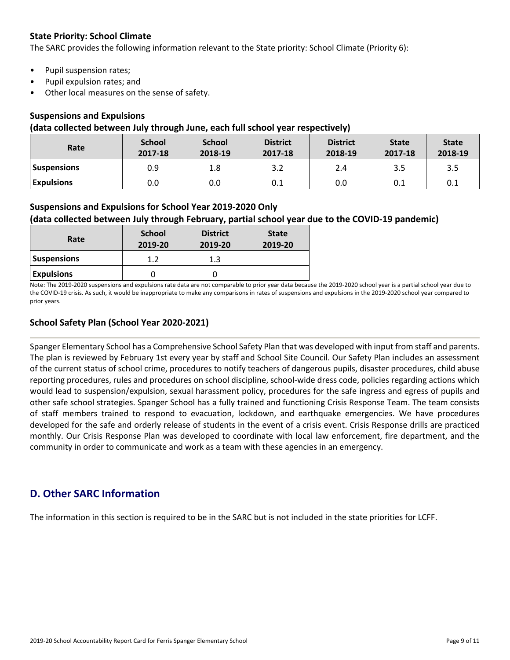### **State Priority: School Climate**

The SARC provides the following information relevant to the State priority: School Climate (Priority 6):

- Pupil suspension rates;
- Pupil expulsion rates; and
- Other local measures on the sense of safety.

### **Suspensions and Expulsions**

### **(data collected between July through June, each full school year respectively)**

| Rate               | <b>School</b><br>2017-18 | <b>School</b><br>2018-19 | <b>District</b><br>2017-18 | <b>District</b><br>2018-19 | <b>State</b><br>2017-18 | <b>State</b><br>2018-19 |
|--------------------|--------------------------|--------------------------|----------------------------|----------------------------|-------------------------|-------------------------|
| <b>Suspensions</b> | 0.9                      | 1.8                      |                            | 2.4                        | 3.5                     | 3.5                     |
| <b>Expulsions</b>  | 0.0                      | 0.0                      | 0.1                        | 0.0                        | 0.1                     | 0.1                     |

### **Suspensions and Expulsions for School Year 2019-2020 Only**

### **(data collected between July through February, partial school year due to the COVID-19 pandemic)**

| Rate               | <b>School</b><br>2019-20 | <b>District</b><br>2019-20 | <b>State</b><br>2019-20 |
|--------------------|--------------------------|----------------------------|-------------------------|
| <b>Suspensions</b> | 17                       | 1.3                        |                         |
| <b>Expulsions</b>  |                          |                            |                         |

Note: The 2019-2020 suspensions and expulsions rate data are not comparable to prior year data because the 2019-2020 school year is a partial school year due to the COVID-19 crisis. As such, it would be inappropriate to make any comparisons in rates of suspensions and expulsions in the 2019-2020 school year compared to prior years.

### **School Safety Plan (School Year 2020-2021)**

Spanger Elementary School has a Comprehensive School Safety Plan that was developed with input from staff and parents. The plan is reviewed by February 1st every year by staff and School Site Council. Our Safety Plan includes an assessment of the current status of school crime, procedures to notify teachers of dangerous pupils, disaster procedures, child abuse reporting procedures, rules and procedures on school discipline, school-wide dress code, policies regarding actions which would lead to suspension/expulsion, sexual harassment policy, procedures for the safe ingress and egress of pupils and other safe school strategies. Spanger School has a fully trained and functioning Crisis Response Team. The team consists of staff members trained to respond to evacuation, lockdown, and earthquake emergencies. We have procedures developed for the safe and orderly release of students in the event of a crisis event. Crisis Response drills are practiced monthly. Our Crisis Response Plan was developed to coordinate with local law enforcement, fire department, and the community in order to communicate and work as a team with these agencies in an emergency.

# **D. Other SARC Information**

The information in this section is required to be in the SARC but is not included in the state priorities for LCFF.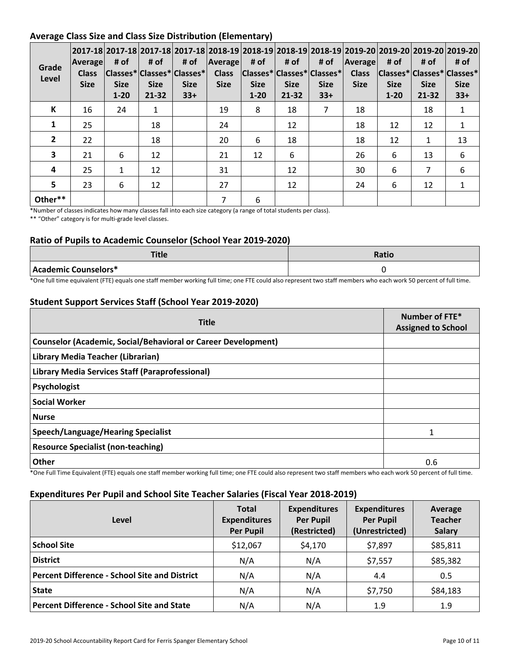### **Average Class Size and Class Size Distribution (Elementary)**

| Grade<br>Level | Average<br><b>Class</b><br><b>Size</b> | # of<br><b>Size</b><br>$1 - 20$ | # of<br><b>Size</b><br>$21 - 32$ | # of<br> Classes* Classes* Classes* <br><b>Size</b><br>$33+$ | <b>Average</b><br><b>Class</b><br><b>Size</b> | # of<br><b>Size</b><br>$1 - 20$ | # of<br><b>Size</b><br>$21 - 32$ | # of<br> Classes* Classes* Classes* <br><b>Size</b><br>$33+$ | Average<br><b>Class</b><br><b>Size</b> | # of<br> Classes* Classes* Classes*<br><b>Size</b><br>$1 - 20$ | # of<br><b>Size</b><br>21-32 | 2017-18  2017-18  2017-18  2017-18  2018-19  2018-19  2018-19  2018-19  2019-20  2019-20  2019-20  2019-20  <br># of<br><b>Size</b><br>$33+$ |
|----------------|----------------------------------------|---------------------------------|----------------------------------|--------------------------------------------------------------|-----------------------------------------------|---------------------------------|----------------------------------|--------------------------------------------------------------|----------------------------------------|----------------------------------------------------------------|------------------------------|----------------------------------------------------------------------------------------------------------------------------------------------|
| К              | 16                                     | 24                              | $\mathbf{1}$                     |                                                              | 19                                            | 8                               | 18                               | 7                                                            | 18                                     |                                                                | 18                           | $\mathbf{1}$                                                                                                                                 |
| 1              | 25                                     |                                 | 18                               |                                                              | 24                                            |                                 | 12                               |                                                              | 18                                     | 12                                                             | 12                           | 1                                                                                                                                            |
| $\overline{2}$ | 22                                     |                                 | 18                               |                                                              | 20                                            | 6                               | 18                               |                                                              | 18                                     | 12                                                             | $\mathbf{1}$                 | 13                                                                                                                                           |
| 3              | 21                                     | 6                               | 12                               |                                                              | 21                                            | 12                              | 6                                |                                                              | 26                                     | 6                                                              | 13                           | 6                                                                                                                                            |
| 4              | 25                                     | 1                               | 12                               |                                                              | 31                                            |                                 | 12                               |                                                              | 30                                     | 6                                                              | $\overline{7}$               | 6                                                                                                                                            |
| 5 <sup>5</sup> | 23                                     | 6                               | 12                               |                                                              | 27                                            |                                 | 12                               |                                                              | 24                                     | 6                                                              | 12                           |                                                                                                                                              |
| Other**        |                                        |                                 |                                  |                                                              | 7                                             | 6                               |                                  |                                                              |                                        |                                                                |                              |                                                                                                                                              |

\*Number of classes indicates how many classes fall into each size category (a range of total students per class).

\*\* "Other" category is for multi-grade level classes.

### **Ratio of Pupils to Academic Counselor (School Year 2019-2020)**

| 三十日人<br>TUE          | <b>Ratio</b> |
|----------------------|--------------|
| Academic Counselors* |              |

\*One full time equivalent (FTE) equals one staff member working full time; one FTE could also represent two staff members who each work 50 percent of full time.

### **Student Support Services Staff (School Year 2019-2020)**

| <b>Title</b>                                                  | Number of FTE*<br><b>Assigned to School</b> |  |
|---------------------------------------------------------------|---------------------------------------------|--|
| Counselor (Academic, Social/Behavioral or Career Development) |                                             |  |
| Library Media Teacher (Librarian)                             |                                             |  |
| Library Media Services Staff (Paraprofessional)               |                                             |  |
| Psychologist                                                  |                                             |  |
| <b>Social Worker</b>                                          |                                             |  |
| <b>Nurse</b>                                                  |                                             |  |
| <b>Speech/Language/Hearing Specialist</b>                     |                                             |  |
| <b>Resource Specialist (non-teaching)</b>                     |                                             |  |
| Other<br>$\sim$ $\sim$                                        | 0.6                                         |  |

\*One Full Time Equivalent (FTE) equals one staff member working full time; one FTE could also represent two staff members who each work 50 percent of full time.

### **Expenditures Per Pupil and School Site Teacher Salaries (Fiscal Year 2018-2019)**

| Level                                                | <b>Total</b><br><b>Expenditures</b><br><b>Per Pupil</b> | <b>Expenditures</b><br><b>Per Pupil</b><br>(Restricted) | <b>Expenditures</b><br><b>Per Pupil</b><br>(Unrestricted) | Average<br><b>Teacher</b><br><b>Salary</b> |
|------------------------------------------------------|---------------------------------------------------------|---------------------------------------------------------|-----------------------------------------------------------|--------------------------------------------|
| <b>School Site</b>                                   | \$12,067                                                | \$4,170                                                 | \$7,897                                                   | \$85,811                                   |
| <b>District</b>                                      | N/A                                                     | N/A                                                     | \$7,557                                                   | \$85,382                                   |
| <b>Percent Difference - School Site and District</b> | N/A                                                     | N/A                                                     | 4.4                                                       | 0.5                                        |
| <b>State</b>                                         | N/A                                                     | N/A                                                     | \$7,750                                                   | \$84,183                                   |
| <b>Percent Difference - School Site and State</b>    | N/A                                                     | N/A                                                     | 1.9                                                       | 1.9                                        |